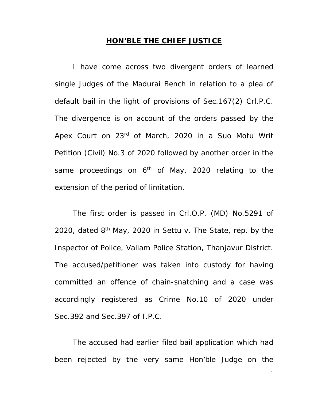## **HON'BLE THE CHIEF JUSTICE**

I have come across two divergent orders of learned single Judges of the Madurai Bench in relation to a plea of default bail in the light of provisions of Sec.167(2) Crl.P.C. The divergence is on account of the orders passed by the Apex Court on 23<sup>rd</sup> of March, 2020 in a Suo Motu Writ Petition (Civil) No.3 of 2020 followed by another order in the same proceedings on  $6<sup>th</sup>$  of May, 2020 relating to the extension of the period of limitation.

The first order is passed in Crl.O.P. (MD) No.5291 of 2020, dated  $8<sup>th</sup>$  May, 2020 in Settu v. The State, rep. by the Inspector of Police, Vallam Police Station, Thanjavur District. The accused/petitioner was taken into custody for having committed an offence of chain-snatching and a case was accordingly registered as Crime No.10 of 2020 under Sec.392 and Sec.397 of I.P.C.

The accused had earlier filed bail application which had been rejected by the very same Hon'ble Judge on the

1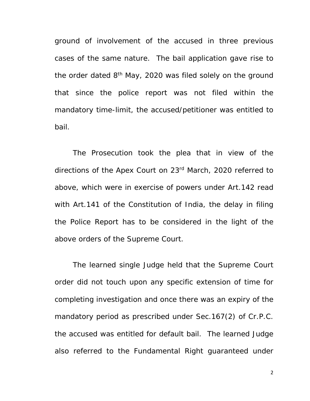ground of involvement of the accused in three previous cases of the same nature. The bail application gave rise to the order dated 8<sup>th</sup> May, 2020 was filed solely on the ground that since the police report was not filed within the mandatory time-limit, the accused/petitioner was entitled to bail.

The Prosecution took the plea that in view of the directions of the Apex Court on 23rd March, 2020 referred to above, which were in exercise of powers under Art.142 read with Art.141 of the Constitution of India, the delay in filing the Police Report has to be considered in the light of the above orders of the Supreme Court.

The learned single Judge held that the Supreme Court order did not touch upon any specific extension of time for completing investigation and once there was an expiry of the mandatory period as prescribed under Sec.167(2) of Cr.P.C. the accused was entitled for default bail. The learned Judge also referred to the Fundamental Right guaranteed under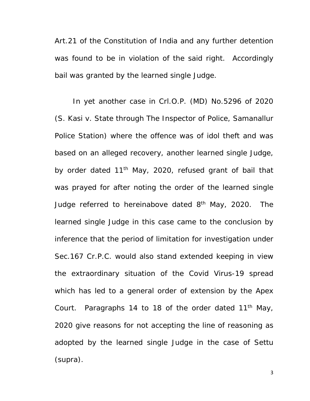Art.21 of the Constitution of India and any further detention was found to be in violation of the said right. Accordingly bail was granted by the learned single Judge.

In yet another case in Crl.O.P. (MD) No.5296 of 2020 (S. Kasi v. State through The Inspector of Police, Samanallur Police Station) where the offence was of idol theft and was based on an alleged recovery, another learned single Judge, by order dated 11<sup>th</sup> May, 2020, refused grant of bail that was prayed for after noting the order of the learned single Judge referred to hereinabove dated 8<sup>th</sup> May, 2020. The learned single Judge in this case came to the conclusion by inference that the period of limitation for investigation under Sec.167 Cr.P.C. would also stand extended keeping in view the extraordinary situation of the Covid Virus-19 spread which has led to a general order of extension by the Apex Court. Paragraphs 14 to 18 of the order dated 11<sup>th</sup> May, 2020 give reasons for not accepting the line of reasoning as adopted by the learned single Judge in the case of Settu (supra).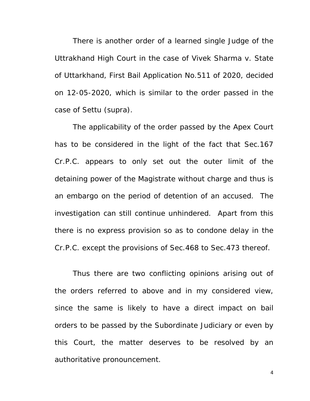There is another order of a learned single Judge of the Uttrakhand High Court in the case of Vivek Sharma v. State of Uttarkhand, First Bail Application No.511 of 2020, decided on 12-05-2020, which is similar to the order passed in the case of Settu (supra).

The applicability of the order passed by the Apex Court has to be considered in the light of the fact that Sec.167 Cr.P.C. appears to only set out the outer limit of the detaining power of the Magistrate without charge and thus is an embargo on the period of detention of an accused. The investigation can still continue unhindered. Apart from this there is no express provision so as to condone delay in the Cr.P.C. except the provisions of Sec.468 to Sec.473 thereof.

Thus there are two conflicting opinions arising out of the orders referred to above and in my considered view, since the same is likely to have a direct impact on bail orders to be passed by the Subordinate Judiciary or even by this Court, the matter deserves to be resolved by an authoritative pronouncement.

4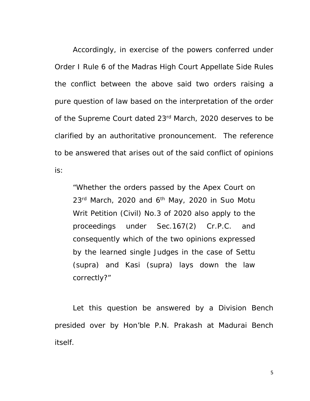Accordingly, in exercise of the powers conferred under Order I Rule 6 of the Madras High Court Appellate Side Rules the conflict between the above said two orders raising a pure question of law based on the interpretation of the order of the Supreme Court dated 23<sup>rd</sup> March, 2020 deserves to be clarified by an authoritative pronouncement. The reference to be answered that arises out of the said conflict of opinions is:

"Whether the orders passed by the Apex Court on  $23<sup>rd</sup>$  March, 2020 and 6<sup>th</sup> May, 2020 in Suo Motu Writ Petition (Civil) No.3 of 2020 also apply to the proceedings under Sec.167(2) Cr.P.C. and consequently which of the two opinions expressed by the learned single Judges in the case of Settu (supra) and Kasi (supra) lays down the law correctly?"

Let this question be answered by a Division Bench presided over by Hon'ble P.N. Prakash at Madurai Bench itself.

5